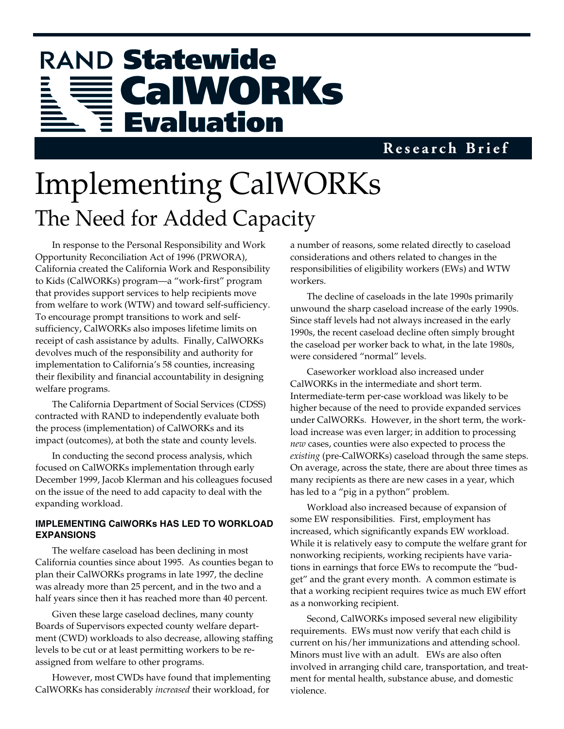# RAND Statewide CalWORKs **Evaluation**

### **Research Brief**

# Implementing CalWORKs The Need for Added Capacity

In response to the Personal Responsibility and Work Opportunity Reconciliation Act of 1996 (PRWORA), California created the California Work and Responsibility to Kids (CalWORKs) program—a "work-first" program that provides support services to help recipients move from welfare to work (WTW) and toward self-sufficiency. To encourage prompt transitions to work and selfsufficiency, CalWORKs also imposes lifetime limits on receipt of cash assistance by adults. Finally, CalWORKs devolves much of the responsibility and authority for implementation to California's 58 counties, increasing their flexibility and financial accountability in designing welfare programs.

The California Department of Social Services (CDSS) contracted with RAND to independently evaluate both the process (implementation) of CalWORKs and its impact (outcomes), at both the state and county levels.

In conducting the second process analysis, which focused on CalWORKs implementation through early December 1999, Jacob Klerman and his colleagues focused on the issue of the need to add capacity to deal with the expanding workload.

#### **IMPLEMENTING CalWORKs HAS LED TO WORKLOAD EXPANSIONS**

The welfare caseload has been declining in most California counties since about 1995. As counties began to plan their CalWORKs programs in late 1997, the decline was already more than 25 percent, and in the two and a half years since then it has reached more than 40 percent.

Given these large caseload declines, many county Boards of Supervisors expected county welfare department (CWD) workloads to also decrease, allowing staffing levels to be cut or at least permitting workers to be reassigned from welfare to other programs.

However, most CWDs have found that implementing CalWORKs has considerably *increased* their workload, for

a number of reasons, some related directly to caseload considerations and others related to changes in the responsibilities of eligibility workers (EWs) and WTW workers.

The decline of caseloads in the late 1990s primarily unwound the sharp caseload increase of the early 1990s. Since staff levels had not always increased in the early 1990s, the recent caseload decline often simply brought the caseload per worker back to what, in the late 1980s, were considered "normal" levels.

Caseworker workload also increased under CalWORKs in the intermediate and short term. Intermediate-term per-case workload was likely to be higher because of the need to provide expanded services under CalWORKs. However, in the short term, the workload increase was even larger; in addition to processing *new* cases, counties were also expected to process the *existing* (pre-CalWORKs) caseload through the same steps. On average, across the state, there are about three times as many recipients as there are new cases in a year, which has led to a "pig in a python" problem.

Workload also increased because of expansion of some EW responsibilities. First, employment has increased, which significantly expands EW workload. While it is relatively easy to compute the welfare grant for nonworking recipients, working recipients have variations in earnings that force EWs to recompute the "budget" and the grant every month. A common estimate is that a working recipient requires twice as much EW effort as a nonworking recipient.

Second, CalWORKs imposed several new eligibility requirements. EWs must now verify that each child is current on his/her immunizations and attending school. Minors must live with an adult. EWs are also often involved in arranging child care, transportation, and treatment for mental health, substance abuse, and domestic violence.